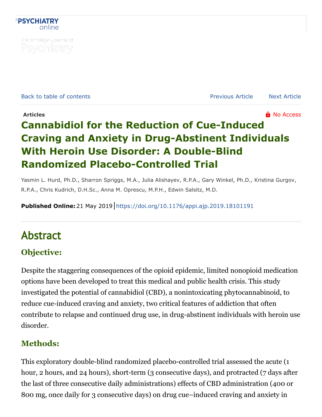

The American Journal of Psychiatry

[Back to table of contents](https://ajp.psychiatryonline.org/toc/ajp/0/0) [Previous Article](https://ajp.psychiatryonline.org/doi/10.1176/appi.ajp.2019.18101180) [Next Article](https://ajp.psychiatryonline.org/doi/10.1176/appi.ajp.2019.18111296)

## **Articles And Articles No. Access Articles Articles Contract and Articles Contract and Articles Contract and Articles Contract and Articles Contract and Articles Contract and Articles Contract and Art Cannabidiol for the Reduction of Cue-Induced [Craving and Anxiety in Drug-Abstinent Individuals](https://ajp.psychiatryonline.org/doi/full/10.1176/appi.ajp.2019.18101191) With Heroin Use Disorder: A Double-Blind Randomized Placebo-Controlled Trial**

Yasmin L. Hurd, Ph.D., Sharron Spriggs, M.A., Julia Alishayev, R.P.A., Gary Winkel, Ph.D., Kristina Gurgov, R.P.A., Chris Kudrich, D.H.Sc., Anna M. Oprescu, M.P.H., Edwin Salsitz, M.D.

**Published Online:**21 May 2019 <https://doi.org/10.1176/appi.ajp.2019.18101191>

# Abstract

### **Objective:**

Despite the staggering consequences of the opioid epidemic, limited nonopioid medication options have been developed to treat this medical and public health crisis. This study investigated the potential of cannabidiol (CBD), a nonintoxicating phytocannabinoid, to reduce cue-induced craving and anxiety, two critical features of addiction that often contribute to relapse and continued drug use, in drug-abstinent individuals with heroin use disorder.

#### **Methods:**

This exploratory double-blind randomized placebo-controlled trial assessed the acute (1 hour, 2 hours, and 24 hours), short-term (3 consecutive days), and protracted (7 days after the last of three consecutive daily administrations) effects of CBD administration (400 or 800 mg, once daily for 3 consecutive days) on drug cue–induced craving and anxiety in